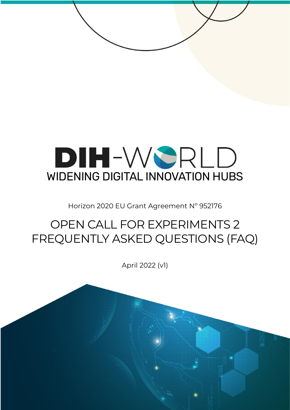# DIH-WSRLD WIDENING DIGITAL INNOVATION HUBS

Horizon 2020 EU Grant Agreement Nº 952176

# OPEN CALL FOR EXPERIMENTS 2 FREQUENTLY ASKED QUESTIONS (FAQ)

April 2022 (v1)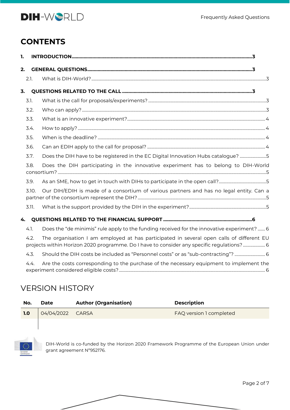

#### **CONTENTS**

| 1. |       |                                                                                                                                                                                        |  |  |  |  |
|----|-------|----------------------------------------------------------------------------------------------------------------------------------------------------------------------------------------|--|--|--|--|
| 2. |       |                                                                                                                                                                                        |  |  |  |  |
|    | 2.1.  |                                                                                                                                                                                        |  |  |  |  |
| 3. |       |                                                                                                                                                                                        |  |  |  |  |
|    | 3.1.  |                                                                                                                                                                                        |  |  |  |  |
|    | 3.2.  |                                                                                                                                                                                        |  |  |  |  |
|    | 3.3.  |                                                                                                                                                                                        |  |  |  |  |
|    | 3.4.  |                                                                                                                                                                                        |  |  |  |  |
|    | 3.5.  |                                                                                                                                                                                        |  |  |  |  |
|    | 3.6.  |                                                                                                                                                                                        |  |  |  |  |
|    | 3.7.  | Does the DIH have to be registered in the EC Digital Innovation Hubs catalogue? 5                                                                                                      |  |  |  |  |
|    | 3.8.  | Does the DIH participating in the innovative experiment has to belong to DIH-World                                                                                                     |  |  |  |  |
|    | 3.9.  |                                                                                                                                                                                        |  |  |  |  |
|    | 3.10. | Our DIH/EDIH is made of a consortium of various partners and has no legal entity. Can a                                                                                                |  |  |  |  |
|    | 3.11. |                                                                                                                                                                                        |  |  |  |  |
| 4. |       |                                                                                                                                                                                        |  |  |  |  |
|    | 4.1.  | Does the "de minimis" rule apply to the funding received for the innovative experiment?  6                                                                                             |  |  |  |  |
|    | 4.2.  | The organisation I am employed at has participated in several open calls of different EU<br>projects within Horizon 2020 programme. Do I have to consider any specific regulations?  6 |  |  |  |  |
|    | 4.3.  | Should the DIH costs be included as "Personnel costs" or as "sub-contracting"?  6                                                                                                      |  |  |  |  |
|    | 4.4.  | Are the costs corresponding to the purchase of the necessary equipment to implement the                                                                                                |  |  |  |  |

#### VERSION HISTORY

| No. | Date             | <b>Author (Organisation)</b> | <b>Description</b>      |
|-----|------------------|------------------------------|-------------------------|
| 1.0 | 04/04/2022 CARSA |                              | FAQ version 1 completed |
|     |                  |                              |                         |

DIH-World is co-funded by the Horizon 2020 Framework Programme of the European Union under grant agreement Nº952176.

Page 2 of 7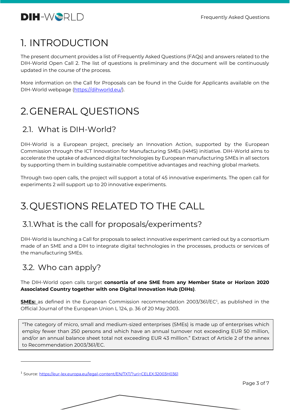

#### <span id="page-2-0"></span>1. INTRODUCTION

The present document provides a list of Frequently Asked Questions (FAQs) and answers related to the DIH-World Open Call 2. The list of questions is preliminary and the document will be continuously updated in the course of the process.

More information on the Call for Proposals can be found in the Guide for Applicants available on the DIH-World webpage [\(https://dihworld.eu/\)](https://dihworld.eu/).

### <span id="page-2-1"></span>2.GENERAL QUESTIONS

#### <span id="page-2-2"></span>2.1. What is DIH-World?

DIH-World is a European project, precisely an Innovation Action, supported by the European Commission through the ICT Innovation for Manufacturing SMEs (I4MS) initiative. DIH-World aims to accelerate the uptake of advanced digital technologies by European manufacturing SMEs in all sectors by supporting them in building sustainable competitive advantages and reaching global markets.

Through two open calls, the project will support a total of 45 innovative experiments. The open call for experiments 2 will support up to 20 innovative experiments.

## <span id="page-2-3"></span>3.QUESTIONS RELATED TO THE CALL

#### <span id="page-2-4"></span>3.1.What is the call for proposals/experiments?

DIH-World is launching a Call for proposals to select innovative experiment carried out by a consortium made of an SME and a DIH to integrate digital technologies in the processes, products or services of the manufacturing SMEs.

#### <span id="page-2-5"></span>3.2. Who can apply?

#### The DIH-World open calls target **consortia of one SME from any Member State or Horizon 2020 Associated Country together with one Digital Innovation Hub (DIHs)**.

**SMEs:** as defined in the European Commission recommendation 2003/361/EC<sup>1</sup> , as published in the Official Journal of the European Union L 124, p. 36 of 20 May 2003.

"The category of micro, small and medium-sized enterprises (SMEs) is made up of enterprises which employ fewer than 250 persons and which have an annual turnover not exceeding EUR 50 million, and/or an annual balance sheet total not exceeding EUR 43 million." Extract of Article 2 of the annex to Recommendation 2003/361/EC.

<sup>1</sup> Source: <https://eur-lex.europa.eu/legal-content/EN/TXT/?uri=CELEX:32003H0361>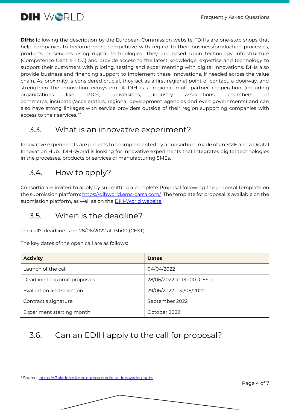

**DIHs:** following the description by the European Commission website: "DIHs are one-stop shops that help companies to become more competitive with regard to their business/production processes, products or services using digital technologies. They are based upon technology infrastructure (Competence Centre - CC) and provide access to the latest knowledge, expertise and technology to support their customers with piloting, testing and experimenting with digital innovations. DIHs also provide business and financing support to implement these innovations, if needed across the value chain. As proximity is considered crucial, they act as a first regional point of contact, a doorway, and strengthen the innovation ecosystem. A DIH is a regional multi-partner cooperation (including organizations like RTOs, universities, industry associations, chambers of commerce, incubator/accelerators, regional development agencies and even governments) and can also have strong linkages with service providers outside of their region supporting companies with access to their services." 2

#### <span id="page-3-0"></span>3.3. What is an innovative experiment?

Innovative experiments are projects to be implemented by a consortium made of an SME and a Digital Innovation Hub. DIH-World is looking for innovative experiments that integrates digital technologies in the processes, products or services of manufacturing SMEs.

#### <span id="page-3-1"></span>3.4. How to apply?

Consortia are invited to apply by submitting a complete Proposal following the proposal template on the submission platform: <https://dihworld.ems-carsa.com/>The template for proposal is available on the submission platform, as well as on the **DIH-World website**.

#### <span id="page-3-2"></span>3.5. When is the deadline?

The call's deadline is on 28/06/2022 at 13h00 (CEST),

The key dates of the open call are as follows:

| <b>Activity</b>              | <b>Dates</b>               |
|------------------------------|----------------------------|
| Launch of the call           | 04/04/2022                 |
| Deadline to submit proposals | 28/06/2022 at 13h00 (CEST) |
| Evaluation and selection     | 29/06/2022 - 31/08/2022    |
| Contract's signature         | September 2022             |
| Experiment starting month    | October 2022               |

#### <span id="page-3-3"></span>3.6. Can an EDIH apply to the call for proposal?

<sup>&</sup>lt;sup>2</sup> Source :<https://s3platform.jrc.ec.europa.eu/digital-innovation-hubs>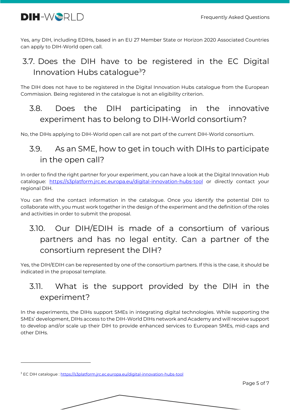

Yes, any DIH, including EDIHs, based in an EU 27 Member State or Horizon 2020 Associated Countries can apply to DIH-World open call.

#### <span id="page-4-0"></span>3.7. Does the DIH have to be registered in the EC Digital Innovation Hubs catalogue<sup>3</sup>?

The DIH does not have to be registered in the Digital Innovation Hubs catalogue from the European Commission. Being registered in the catalogue is not an eligibility criterion.

<span id="page-4-1"></span>3.8. Does the DIH participating in the innovative experiment has to belong to DIH-World consortium?

No, the DIHs applying to DIH-World open call are not part of the current DIH-World consortium.

#### <span id="page-4-2"></span>3.9. As an SME, how to get in touch with DIHs to participate in the open call?

In order to find the right partner for your experiment, you can have a look at the Digital Innovation Hub catalogue: <https://s3platform.jrc.ec.europa.eu/digital-innovation-hubs-tool> or directly contact your regional DIH.

You can find the contact information in the catalogue. Once you identify the potential DIH to collaborate with, you must work together in the design of the experiment and the definition of the roles and activities in order to submit the proposal.

#### <span id="page-4-3"></span>3.10. Our DIH/EDIH is made of a consortium of various partners and has no legal entity. Can a partner of the consortium represent the DIH?

Yes, the DIH/EDIH can be represented by one of the consortium partners. If this is the case, it should be indicated in the proposal template.

#### <span id="page-4-4"></span>3.11. What is the support provided by the DIH in the experiment?

In the experiments, the DIHs support SMEs in integrating digital technologies. While supporting the SMEs' development, DIHs access to the DIH-World DIHs network and Academy and will receive support to develop and/or scale up their DIH to provide enhanced services to European SMEs, mid-caps and other DIHs.

<sup>3</sup> EC DIH catalogue : <https://s3platform.jrc.ec.europa.eu/digital-innovation-hubs-tool>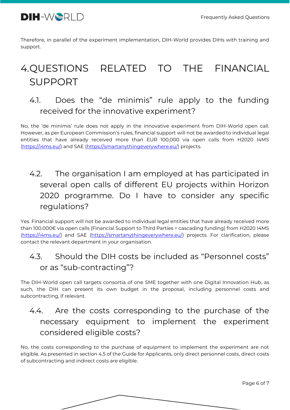

Therefore, in parallel of the experiment implementation, DIH-World provides DIHs with training and support.

# <span id="page-5-0"></span>4.QUESTIONS RELATED TO THE FINANCIAL SUPPORT

#### <span id="page-5-1"></span>4.1. Does the "de minimis" rule apply to the funding received for the innovative experiment?

No, the 'de minimis' rule does not apply in the innovative experiment from DIH-World open call. However, as per European Commission's rules, financial support will not be awarded to individual legal entities that have already received more than EUR 100,000 via open calls from H2020 I4MS [\(https://i4ms.eu/\)](https://i4ms.eu/) and SAE [\(https://smartanythingeverywhere.eu/\)](https://smartanythingeverywhere.eu/) projects.

#### <span id="page-5-2"></span>4.2. The organisation I am employed at has participated in several open calls of different EU projects within Horizon 2020 programme. Do I have to consider any specific regulations?

Yes. Financial support will not be awarded to individual legal entities that have already received more than 100.000€ via open calls (Financial Support to Third Parties = cascading funding) from H2020 I4MS [\(https://i4ms.eu/\)](https://i4ms.eu/) and SAE [\(https://smartanythingeverywhere.eu/\)](https://smartanythingeverywhere.eu/) projects. For clarification, please contact the relevant department in your organisation.

#### <span id="page-5-3"></span>4.3. Should the DIH costs be included as "Personnel costs" or as "sub-contracting"?

The DIH-World open call targets consortia of one SME together with one Digital Innovation Hub, as such, the DIH can present its own budget in the proposal, including personnel costs and subcontracting, if relevant.

#### <span id="page-5-4"></span>4.4. Are the costs corresponding to the purchase of the necessary equipment to implement the experiment considered eligible costs?

No, the costs corresponding to the purchase of equipment to implement the experiment are not eligible. As presented in section 4.5 of the Guide for Applicants, only direct personnel costs, direct costs of subcontracting and indirect costs are eligible.

Page 6 of 7